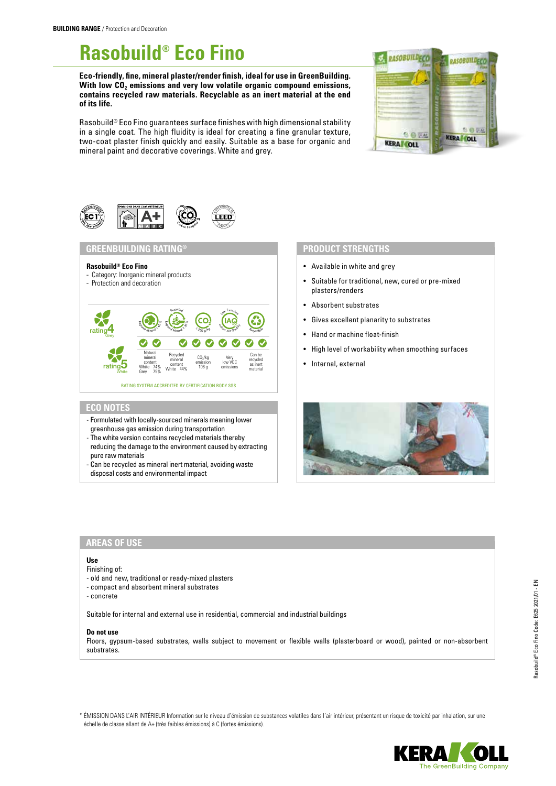**Rasobuild® Eco Fino**

**Eco-friendly, fine, mineral plaster/render finish, ideal for use in GreenBuilding.**  With low CO<sub>2</sub> emissions and very low volatile organic compound emissions, **contains recycled raw materials. Recyclable as an inert material at the end of its life.**

Rasobuild® Eco Fino guarantees surface finishes with high dimensional stability in a single coat. The high fluidity is ideal for creating a fine granular texture, two-coat plaster finish quickly and easily. Suitable as a base for organic and mineral paint and decorative coverings. White and grey.





## **GREENBUILDING RATING®**

### **Rasobuild® Eco Fino**

- Category: Inorganic mineral products
- Protection and decoration



# **ECO NOTES**

- Formulated with locally-sourced minerals meaning lower greenhouse gas emission during transportation
- The white version contains recycled materials thereby reducing the damage to the environment caused by extracting pure raw materials
- Can be recycled as mineral inert material, avoiding waste disposal costs and environmental impact

## **PRODUCT STRENGTHS**

- Available in white and grey
- Suitable for traditional, new, cured or pre-mixed plasters/renders
- Absorbent substrates
- Gives excellent planarity to substrates
- Hand or machine float-finish
- High level of workability when smoothing surfaces
- Internal, external



## **AREAS OF USE**

#### **Use**

## Finishing of:

- old and new, traditional or ready-mixed plasters
- compact and absorbent mineral substrates
- concrete

Suitable for internal and external use in residential, commercial and industrial buildings

#### **Do not use**

Floors, gypsum-based substrates, walls subject to movement or flexible walls (plasterboard or wood), painted or non-absorbent substrates.

\* ÉMISSION DANS L'AIR INTÉRIEUR Information sur le niveau d'émission de substances volatiles dans l'air intérieur, présentant un risque de toxicité par inhalation, sur une échelle de classe allant de A+ (très faibles émissions) à C (fortes émissions).

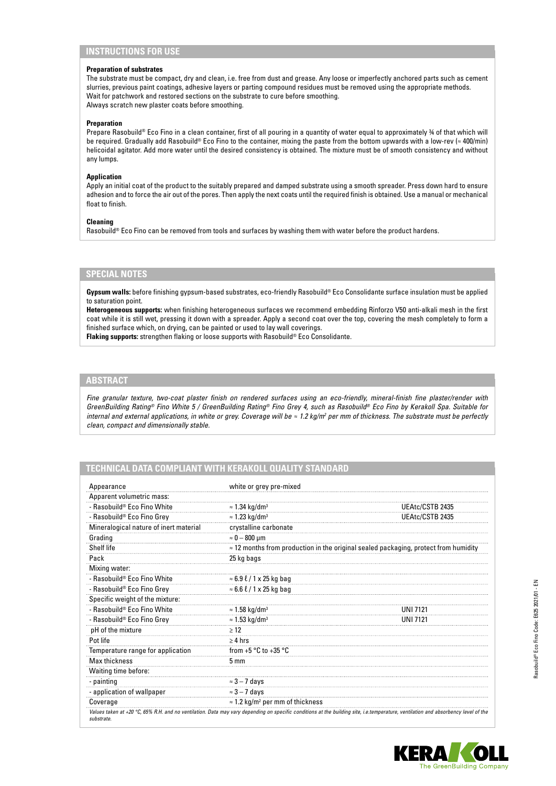## **Preparation of substrates**

The substrate must be compact, dry and clean, i.e. free from dust and grease. Any loose or imperfectly anchored parts such as cement slurries, previous paint coatings, adhesive layers or parting compound residues must be removed using the appropriate methods. Wait for patchwork and restored sections on the substrate to cure before smoothing. Always scratch new plaster coats before smoothing.

#### **Preparation**

Prepare Rasobuild® Eco Fino in a clean container, first of all pouring in a quantity of water equal to approximately ¾ of that which will be required. Gradually add Rasobuild® Eco Fino to the container, mixing the paste from the bottom upwards with a low-rev (≈ 400/min) helicoidal agitator. Add more water until the desired consistency is obtained. The mixture must be of smooth consistency and without any lumps.

### **Application**

Apply an initial coat of the product to the suitably prepared and damped substrate using a smooth spreader. Press down hard to ensure adhesion and to force the air out of the pores. Then apply the next coats until the required finish is obtained. Use a manual or mechanical float to finish.

#### **Cleaning**

Rasobuild® Eco Fino can be removed from tools and surfaces by washing them with water before the product hardens.

# **SPECIAL NOTES**

**Gypsum walls:** before finishing gypsum-based substrates, eco-friendly Rasobuild® Eco Consolidante surface insulation must be applied to saturation point.

**Heterogeneous supports:** when finishing heterogeneous surfaces we recommend embedding Rinforzo V50 anti-alkali mesh in the first coat while it is still wet, pressing it down with a spreader. Apply a second coat over the top, covering the mesh completely to form a finished surface which, on drying, can be painted or used to lay wall coverings.

**Flaking supports:** strengthen flaking or loose supports with Rasobuild® Eco Consolidante.

## **ABSTRACT**

*Fine granular texture, two-coat plaster finish on rendered surfaces using an eco-friendly, mineral-finish fine plaster/render with GreenBuilding Rating® Fino White 5 / GreenBuilding Rating® Fino Grey 4, such as Rasobuild® Eco Fino by Kerakoll Spa. Suitable for internal and external applications, in white or grey. Coverage will be ≈ 1.2 kg/m<sup>2</sup> per mm of thickness. The substrate must be perfectly clean, compact and dimensionally stable.*

# **TECHNICAL DATA COMPLIANT WITH KERAKOLL QUALITY STANDARD**

| Appearance                             | white or grey pre-mixed                                                                     |                 |
|----------------------------------------|---------------------------------------------------------------------------------------------|-----------------|
| Apparent volumetric mass:              |                                                                                             |                 |
| - Rasobuild® Eco Fino White            | $\approx$ 1.34 kg/dm <sup>3</sup>                                                           | UEAtc/CSTB 2435 |
| - Rasobuild® Eco Fino Grey             | $\approx$ 1.23 kg/dm <sup>3</sup>                                                           | UEAtc/CSTB 2435 |
| Mineralogical nature of inert material | crystalline carbonate                                                                       |                 |
| Grading                                | $\approx 0-800$ µm                                                                          |                 |
| Shelf life                             | $\approx$ 12 months from production in the original sealed packaging, protect from humidity |                 |
| Pack                                   | 25 kg bags                                                                                  |                 |
| Mixing water:                          |                                                                                             |                 |
| - Rasobuild® Eco Fino White            | $\approx$ 6.9 $\ell$ / 1 x 25 kg bag                                                        |                 |
| - Rasobuild® Eco Fino Grey             | $\approx$ 6.6 $\ell$ / 1 x 25 kg bag                                                        |                 |
| Specific weight of the mixture:        |                                                                                             |                 |
| - Rasobuild® Eco Fino White            | $\approx$ 1.58 kg/dm <sup>3</sup>                                                           | UNI 7121        |
| - Rasobuild® Eco Fino Grey             | $\approx$ 1.53 kg/dm <sup>3</sup>                                                           | UNI 7121        |
| pH of the mixture                      | $\geq$ 12                                                                                   |                 |
| Pot life                               | $\geq 4$ hrs                                                                                |                 |
| Temperature range for application      | from $+5$ °C to $+35$ °C                                                                    |                 |
| <b>Max thickness</b>                   | $5 \text{ mm}$                                                                              |                 |
| Waiting time before:                   |                                                                                             |                 |
| - painting                             | $\approx$ 3 – 7 days                                                                        |                 |
| - application of wallpaper             | $\approx$ 3 – 7 days                                                                        |                 |
| Coverage                               | $\approx$ 1.2 kg/m <sup>2</sup> per mm of thickness                                         |                 |